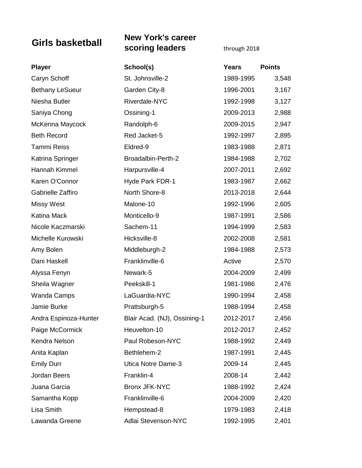## **Girls basketball New York's career scoring leaders** through 2018

| <b>Player</b>          | School(s)                    | Years     | <b>Points</b> |
|------------------------|------------------------------|-----------|---------------|
| Caryn Schoff           | St. Johnsville-2             | 1989-1995 | 3,548         |
| <b>Bethany LeSueur</b> | Garden City-8                | 1996-2001 | 3,167         |
| Niesha Butler          | Riverdale-NYC                | 1992-1998 | 3,127         |
| Saniya Chong           | Ossining-1                   | 2009-2013 | 2,988         |
| McKenna Maycock        | Randolph-6                   | 2009-2015 | 2,947         |
| <b>Beth Record</b>     | Red Jacket-5                 | 1992-1997 | 2,895         |
| <b>Tammi Reiss</b>     | Eldred-9                     | 1983-1988 | 2,871         |
| Katrina Springer       | Broadalbin-Perth-2           | 1984-1988 | 2,702         |
| Hannah Kimmel          | Harpursville-4               | 2007-2011 | 2,692         |
| Karen O'Connor         | Hyde Park FDR-1              | 1983-1987 | 2,662         |
| Gabrielle Zaffiro      | North Shore-8                | 2013-2018 | 2,644         |
| Missy West             | Malone-10                    | 1992-1996 | 2,605         |
| <b>Katina Mack</b>     | Monticello-9                 | 1987-1991 | 2,586         |
| Nicole Kaczmarski      | Sachem-11                    | 1994-1999 | 2,583         |
| Michelle Kurowski      | Hicksville-8                 | 2002-2008 | 2,581         |
| Amy Bolen              | Middleburgh-2                | 1984-1988 | 2,573         |
| Dani Haskell           | Franklinville-6              | Active    | 2,570         |
| Alyssa Fenyn           | Newark-5                     | 2004-2009 | 2,499         |
| Sheila Wagner          | Peekskill-1                  | 1981-1986 | 2,476         |
| <b>Wanda Camps</b>     | LaGuardia-NYC                | 1990-1994 | 2,458         |
| Jamie Burke            | Prattsburgh-5                | 1988-1994 | 2,458         |
| Andra Espinoza-Hunter  | Blair Acad. (NJ), Ossining-1 | 2012-2017 | 2,456         |
| Paige McCormick        | Heuvelton-10                 | 2012-2017 | 2,452         |
| Kendra Nelson          | Paul Robeson-NYC             | 1988-1992 | 2,449         |
| Anita Kaplan           | Bethlehem-2                  | 1987-1991 | 2,445         |
| <b>Emily Durr</b>      | Utica Notre Dame-3           | 2009-14   | 2,445         |
| Jordan Beers           | Franklin-4                   | 2008-14   | 2,442         |
| Juana Garcia           | <b>Bronx JFK-NYC</b>         | 1988-1992 | 2,424         |
| Samantha Kopp          | Franklinville-6              | 2004-2009 | 2,420         |
| Lisa Smith             | Hempstead-8                  | 1979-1983 | 2,418         |
| Lawanda Greene         | Adlai Stevenson-NYC          | 1992-1995 | 2,401         |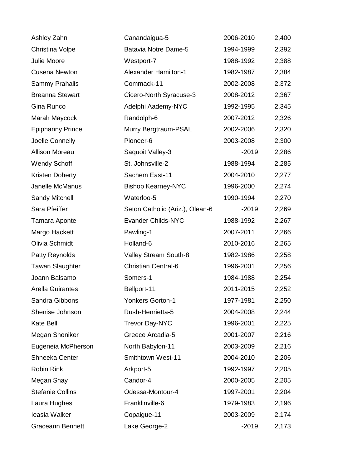| Ashley Zahn             | Canandaigua-5                   | 2006-2010 | 2,400 |
|-------------------------|---------------------------------|-----------|-------|
| Christina Volpe         | Batavia Notre Dame-5            | 1994-1999 | 2,392 |
| Julie Moore             | Westport-7                      | 1988-1992 | 2,388 |
| <b>Cusena Newton</b>    | <b>Alexander Hamilton-1</b>     | 1982-1987 | 2,384 |
| <b>Sammy Prahalis</b>   | Commack-11                      | 2002-2008 | 2,372 |
| <b>Breanna Stewart</b>  | Cicero-North Syracuse-3         | 2008-2012 | 2,367 |
| Gina Runco              | Adelphi Aademy-NYC              | 1992-1995 | 2,345 |
| Marah Maycock           | Randolph-6                      | 2007-2012 | 2,326 |
| <b>Epiphanny Prince</b> | Murry Bergtraum-PSAL            | 2002-2006 | 2,320 |
| Joelle Connelly         | Pioneer-6                       | 2003-2008 | 2,300 |
| <b>Allison Moreau</b>   | Saquoit Valley-3                | $-2019$   | 2,286 |
| <b>Wendy Schoff</b>     | St. Johnsville-2                | 1988-1994 | 2,285 |
| <b>Kristen Doherty</b>  | Sachem East-11                  | 2004-2010 | 2,277 |
| Janelle McManus         | <b>Bishop Kearney-NYC</b>       | 1996-2000 | 2,274 |
| <b>Sandy Mitchell</b>   | Waterloo-5                      | 1990-1994 | 2,270 |
| Sara Pfeiffer           | Seton Catholic (Ariz.), Olean-6 | $-2019$   | 2,269 |
| Tamara Aponte           | <b>Evander Childs-NYC</b>       | 1988-1992 | 2,267 |
| Margo Hackett           | Pawling-1                       | 2007-2011 | 2,266 |
| Olivia Schmidt          | Holland-6                       | 2010-2016 | 2,265 |
| <b>Patty Reynolds</b>   | Valley Stream South-8           | 1982-1986 | 2,258 |
| <b>Tawan Slaughter</b>  | <b>Christian Central-6</b>      | 1996-2001 | 2,256 |
| Joann Balsamo           | Somers-1                        | 1984-1988 | 2,254 |
| <b>Arella Guirantes</b> | Bellport-11                     | 2011-2015 | 2,252 |
| Sandra Gibbons          | <b>Yonkers Gorton-1</b>         | 1977-1981 | 2,250 |
| Shenise Johnson         | Rush-Henrietta-5                | 2004-2008 | 2,244 |
| Kate Bell               | <b>Trevor Day-NYC</b>           | 1996-2001 | 2,225 |
| Megan Shoniker          | Greece Arcadia-5                | 2001-2007 | 2,216 |
| Eugeneia McPherson      | North Babylon-11                | 2003-2009 | 2,216 |
| Shneeka Center          | Smithtown West-11               | 2004-2010 | 2,206 |
| <b>Robin Rink</b>       | Arkport-5                       | 1992-1997 | 2,205 |
| Megan Shay              | Candor-4                        | 2000-2005 | 2,205 |
| <b>Stefanie Collins</b> | Odessa-Montour-4                | 1997-2001 | 2,204 |
| Laura Hughes            | Franklinville-6                 | 1979-1983 | 2,196 |
| leasia Walker           | Copaigue-11                     | 2003-2009 | 2,174 |
| <b>Graceann Bennett</b> | Lake George-2                   | $-2019$   | 2,173 |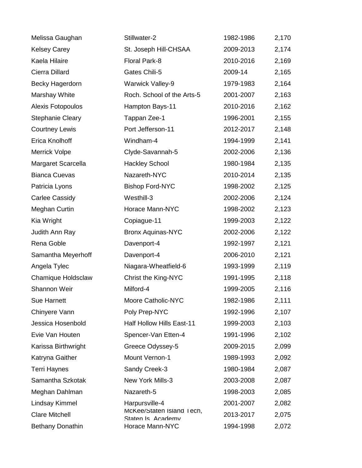| Melissa Gaughan         | Stillwater-2                                   | 1982-1986 | 2,170 |
|-------------------------|------------------------------------------------|-----------|-------|
| <b>Kelsey Carey</b>     | St. Joseph Hill-CHSAA                          | 2009-2013 | 2,174 |
| Kaela Hilaire           | <b>Floral Park-8</b>                           | 2010-2016 | 2,169 |
| Cierra Dillard          | Gates Chili-5                                  | 2009-14   | 2,165 |
| Becky Hagerdorn         | <b>Warwick Valley-9</b>                        | 1979-1983 | 2,164 |
| Marshay White           | Roch. School of the Arts-5                     | 2001-2007 | 2,163 |
| Alexis Fotopoulos       | Hampton Bays-11                                | 2010-2016 | 2,162 |
| <b>Stephanie Cleary</b> | Tappan Zee-1                                   | 1996-2001 | 2,155 |
| <b>Courtney Lewis</b>   | Port Jefferson-11                              | 2012-2017 | 2,148 |
| Erica Knolhoff          | Windham-4                                      | 1994-1999 | 2,141 |
| <b>Merrick Volpe</b>    | Clyde-Savannah-5                               | 2002-2006 | 2,136 |
| Margaret Scarcella      | <b>Hackley School</b>                          | 1980-1984 | 2,135 |
| <b>Bianca Cuevas</b>    | Nazareth-NYC                                   | 2010-2014 | 2,135 |
| Patricia Lyons          | <b>Bishop Ford-NYC</b>                         | 1998-2002 | 2,125 |
| Carlee Cassidy          | Westhill-3                                     | 2002-2006 | 2,124 |
| Meghan Curtin           | Horace Mann-NYC                                | 1998-2002 | 2,123 |
| Kia Wright              | Copiague-11                                    | 1999-2003 | 2,122 |
| Judith Ann Ray          | <b>Bronx Aquinas-NYC</b>                       | 2002-2006 | 2,122 |
| Rena Goble              | Davenport-4                                    | 1992-1997 | 2,121 |
| Samantha Meyerhoff      | Davenport-4                                    | 2006-2010 | 2,121 |
| Angela Tylec            | Niagara-Wheatfield-6                           | 1993-1999 | 2,119 |
| Chamique Holdsclaw      | <b>Christ the King-NYC</b>                     | 1991-1995 | 2,118 |
| Shannon Weir            | Milford-4                                      | 1999-2005 | 2,116 |
| <b>Sue Harnett</b>      | Moore Catholic-NYC                             | 1982-1986 | 2,111 |
| Chinyere Vann           | Poly Prep-NYC                                  | 1992-1996 | 2,107 |
| Jessica Hosenbold       | Half Hollow Hills East-11                      | 1999-2003 | 2,103 |
| Evie Van Houten         | Spencer-Van Etten-4                            | 1991-1996 | 2,102 |
| Karissa Birthwright     | Greece Odyssey-5                               | 2009-2015 | 2,099 |
| Katryna Gaither         | <b>Mount Vernon-1</b>                          | 1989-1993 | 2,092 |
| <b>Terri Haynes</b>     | Sandy Creek-3                                  | 1980-1984 | 2,087 |
| Samantha Szkotak        | New York Mills-3                               | 2003-2008 | 2,087 |
| Meghan Dahlman          | Nazareth-5                                     | 1998-2003 | 2,085 |
| <b>Lindsay Kimmel</b>   | Harpursville-4                                 | 2001-2007 | 2,082 |
| <b>Clare Mitchell</b>   | McKee/Staten Island Tech,<br>Staten Is Academy | 2013-2017 | 2,075 |
| <b>Bethany Donathin</b> | Horace Mann-NYC                                | 1994-1998 | 2,072 |